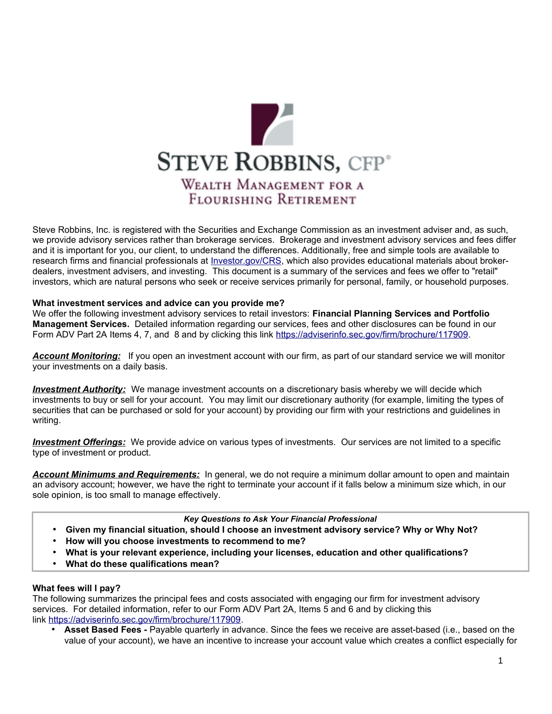

Steve Robbins, Inc. is registered with the Securities and Exchange Commission as an investment adviser and, as such, we provide advisory services rather than brokerage services. Brokerage and investment advisory services and fees differ and it is important for you, our client, to understand the differences. Additionally, free and simple tools are available to research firms and financial professionals at [Investor.gov/CRS,](http://www.Investor.gov/CRS) which also provides educational materials about brokerdealers, investment advisers, and investing. This document is a summary of the services and fees we offer to "retail" investors, which are natural persons who seek or receive services primarily for personal, family, or household purposes.

# **What investment services and advice can you provide me?**

We offer the following investment advisory services to retail investors: **Financial Planning Services and Portfolio Management Services.** Detailed information regarding our services, fees and other disclosures can be found in our Form ADV Part 2A Items 4, 7, and 8 and by clicking this link [https://adviserinfo.sec.gov/firm/brochure/117909.](https://adviserinfo.sec.gov/firm/brochure/117909)

*Account Monitoring:* If you open an investment account with our firm, as part of our standard service we will monitor your investments on a daily basis.

*Investment Authority:* We manage investment accounts on a discretionary basis whereby we will decide which investments to buy or sell for your account. You may limit our discretionary authority (for example, limiting the types of securities that can be purchased or sold for your account) by providing our firm with your restrictions and guidelines in writing.

*Investment Offerings:* We provide advice on various types of investments. Our services are not limited to a specific type of investment or product.

*Account Minimums and Requirements:* In general, we do not require a minimum dollar amount to open and maintain an advisory account; however, we have the right to terminate your account if it falls below a minimum size which, in our sole opinion, is too small to manage effectively.

#### *Key Questions to Ask Your Financial Professional*

- **Given my financial situation, should I choose an investment advisory service? Why or Why Not?**
- **How will you choose investments to recommend to me?**
- **What is your relevant experience, including your licenses, education and other qualifications?**
- **What do these qualifications mean?**

# **What fees will I pay?**

The following summarizes the principal fees and costs associated with engaging our firm for investment advisory services. For detailed information, refer to our Form ADV Part 2A, Items 5 and 6 and by clicking this link [https://adviserinfo.sec.gov/firm/brochure/117909.](https://adviserinfo.sec.gov/firm/brochure/117909)

• **Asset Based Fees -** Payable quarterly in advance. Since the fees we receive are asset-based (i.e., based on the value of your account), we have an incentive to increase your account value which creates a conflict especially for